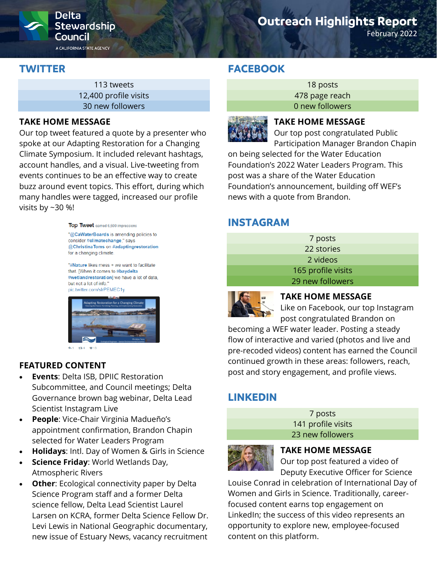

# **Outreach Highlights Report**

February 2022

# **TWITTER**

113 tweets 12,400 profile visits 30 new followers

#### **TAKE HOME MESSAGE**

Our top tweet featured a quote by a presenter who spoke at our Adapting Restoration for a Changing Climate Symposium. It included relevant hashtags, account handles, and a visual. Live-tweeting from events continues to be an effective way to create buzz around event topics. This effort, during which many handles were tagged, increased our profile visits by ~30 %!

> Top Tweet earned 6,600 impressions "@CaWaterBoards is amending policies to consider #climatechange," says @ChristinaToms on #adaptingrestoration for a changing climate.

"#Nature likes mess + we want to facilitate that. [When it comes to #baydelta #wetlandrestoration] we have a lot of data, but not a lot of info. pic.twitter.com/slrPEMEC1v



+1 134 V13

## **FEATURED CONTENT**

- **Events**: Delta ISB, DPIIC Restoration Subcommittee, and Council meetings; Delta Governance brown bag webinar, Delta Lead Scientist Instagram Live
- **People**: Vice-Chair Virginia Madueño's appointment confirmation, Brandon Chapin selected for Water Leaders Program
- **Holidays**: Intl. Day of Women & Girls in Science
- **Science Friday**: World Wetlands Day, Atmospheric Rivers
- **Other:** Ecological connectivity paper by Delta Science Program staff and a former Delta science fellow, Delta Lead Scientist Laurel Larsen on KCRA, former Delta Science Fellow Dr. Levi Lewis in National Geographic documentary, new issue of Estuary News, vacancy recruitment

# **FACEBOOK**

18 posts 478 page reach 0 new followers



### **TAKE HOME MESSAGE**

Our top post congratulated Public Participation Manager Brandon Chapin

on being selected for the Water Education Foundation's 2022 Water Leaders Program. This post was a share of the Water Education Foundation's announcement, building off WEF's news with a quote from Brandon.

## **INSTAGRAM**

| 7 posts            |
|--------------------|
| 22 stories         |
| 2 videos           |
| 165 profile visits |
| 29 new followers   |



### **TAKE HOME MESSAGE**

Like on Facebook, our top Instagram post congratulated Brandon on

becoming a WEF water leader. Posting a steady flow of interactive and varied (photos and live and pre-recoded videos) content has earned the Council continued growth in these areas: followers, reach, post and story engagement, and profile views.

# **LINKEDIN**

7 posts 141 profile visits 23 new followers



#### **TAKE HOME MESSAGE**

Our top post featured a video of Deputy Executive Officer for Science

Louise Conrad in celebration of International Day of Women and Girls in Science. Traditionally, careerfocused content earns top engagement on LinkedIn; the success of this video represents an opportunity to explore new, employee-focused content on this platform.